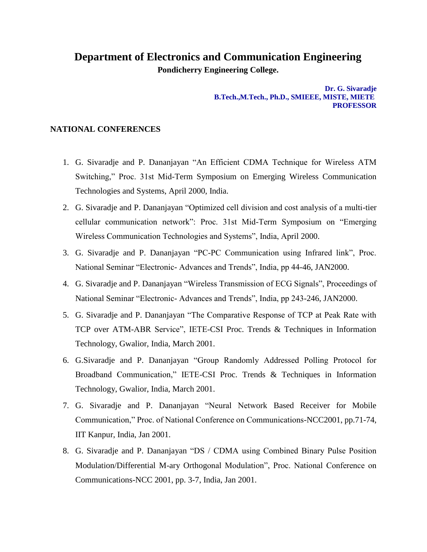## **Department of Electronics and Communication Engineering**

**Pondicherry Engineering College.**

**Dr. G. Sivaradje B.Tech.,M.Tech., Ph.D., SMIEEE, MISTE, MIETE PROFESSOR**

## **NATIONAL CONFERENCES**

- 1. G. Sivaradje and P. Dananjayan "An Efficient CDMA Technique for Wireless ATM Switching," Proc. 31st Mid-Term Symposium on Emerging Wireless Communication Technologies and Systems, April 2000, India.
- 2. G. Sivaradje and P. Dananjayan "Optimized cell division and cost analysis of a multi-tier cellular communication network": Proc. 31st Mid-Term Symposium on "Emerging Wireless Communication Technologies and Systems", India, April 2000.
- 3. G. Sivaradje and P. Dananjayan "PC-PC Communication using Infrared link", Proc. National Seminar "Electronic- Advances and Trends", India, pp 44-46, JAN2000.
- 4. G. Sivaradje and P. Dananjayan "Wireless Transmission of ECG Signals", Proceedings of National Seminar "Electronic- Advances and Trends", India, pp 243-246, JAN2000.
- 5. G. Sivaradje and P. Dananjayan "The Comparative Response of TCP at Peak Rate with TCP over ATM-ABR Service", IETE-CSI Proc. Trends & Techniques in Information Technology, Gwalior, India, March 2001.
- 6. G.Sivaradje and P. Dananjayan "Group Randomly Addressed Polling Protocol for Broadband Communication," IETE-CSI Proc. Trends & Techniques in Information Technology, Gwalior, India, March 2001.
- 7. G. Sivaradje and P. Dananjayan "Neural Network Based Receiver for Mobile Communication," Proc. of National Conference on Communications-NCC2001, pp.71-74, IIT Kanpur, India, Jan 2001.
- 8. G. Sivaradje and P. Dananjayan "DS / CDMA using Combined Binary Pulse Position Modulation/Differential M-ary Orthogonal Modulation", Proc. National Conference on Communications-NCC 2001, pp. 3-7, India, Jan 2001.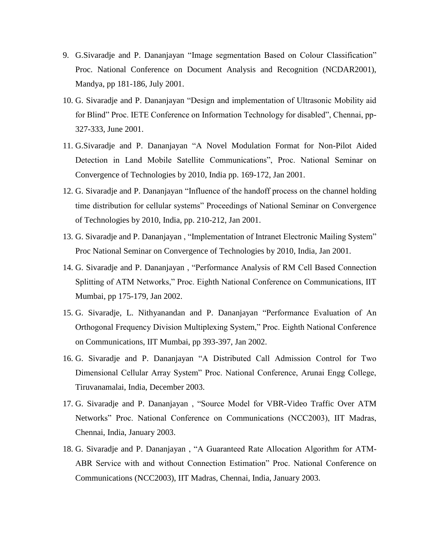- 9. G.Sivaradje and P. Dananjayan "Image segmentation Based on Colour Classification" Proc. National Conference on Document Analysis and Recognition (NCDAR2001), Mandya, pp 181-186, July 2001.
- 10. G. Sivaradje and P. Dananjayan "Design and implementation of Ultrasonic Mobility aid for Blind" Proc. IETE Conference on Information Technology for disabled", Chennai, pp-327-333, June 2001.
- 11. G.Sivaradje and P. Dananjayan "A Novel Modulation Format for Non-Pilot Aided Detection in Land Mobile Satellite Communications", Proc. National Seminar on Convergence of Technologies by 2010, India pp. 169-172, Jan 2001.
- 12. G. Sivaradje and P. Dananjayan "Influence of the handoff process on the channel holding time distribution for cellular systems" Proceedings of National Seminar on Convergence of Technologies by 2010, India, pp. 210-212, Jan 2001.
- 13. G. Sivaradje and P. Dananjayan , "Implementation of Intranet Electronic Mailing System" Proc National Seminar on Convergence of Technologies by 2010, India, Jan 2001.
- 14. G. Sivaradje and P. Dananjayan , "Performance Analysis of RM Cell Based Connection Splitting of ATM Networks," Proc. Eighth National Conference on Communications, IIT Mumbai, pp 175-179, Jan 2002.
- 15. G. Sivaradje, L. Nithyanandan and P. Dananjayan "Performance Evaluation of An Orthogonal Frequency Division Multiplexing System," Proc. Eighth National Conference on Communications, IIT Mumbai, pp 393-397, Jan 2002.
- 16. G. Sivaradje and P. Dananjayan "A Distributed Call Admission Control for Two Dimensional Cellular Array System" Proc. National Conference, Arunai Engg College, Tiruvanamalai, India, December 2003.
- 17. G. Sivaradje and P. Dananjayan , "Source Model for VBR-Video Traffic Over ATM Networks" Proc. National Conference on Communications (NCC2003), IIT Madras, Chennai, India, January 2003.
- 18. G. Sivaradje and P. Dananjayan , "A Guaranteed Rate Allocation Algorithm for ATM-ABR Service with and without Connection Estimation" Proc. National Conference on Communications (NCC2003), IIT Madras, Chennai, India, January 2003.